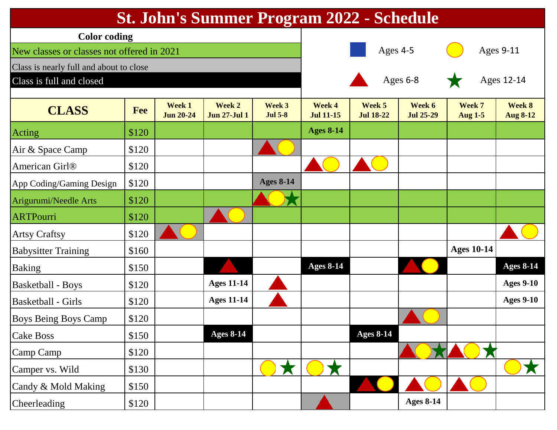|                                            |       |                                   |                               | St. John's Summer Program 2022 - Schedule |                                   |                            |                            |                          |                           |
|--------------------------------------------|-------|-----------------------------------|-------------------------------|-------------------------------------------|-----------------------------------|----------------------------|----------------------------|--------------------------|---------------------------|
| <b>Color coding</b>                        |       |                                   |                               |                                           |                                   |                            |                            |                          |                           |
| New classes or classes not offered in 2021 |       |                                   |                               | Ages 4-5<br><b>Ages 9-11</b>              |                                   |                            |                            |                          |                           |
| Class is nearly full and about to close    |       |                                   |                               |                                           |                                   |                            |                            |                          |                           |
| Class is full and closed                   |       |                                   |                               |                                           | Ages 6-8<br>Ages 12-14            |                            |                            |                          |                           |
| <b>CLASS</b>                               | Fee   | <b>Week 1</b><br><b>Jun 20-24</b> | Week 2<br><b>Jun 27-Jul 1</b> | Week 3<br><b>Jul 5-8</b>                  | <b>Week 4</b><br><b>Jul 11-15</b> | Week 5<br><b>Jul 18-22</b> | Week 6<br><b>Jul 25-29</b> | Week 7<br><b>Aug 1-5</b> | Week 8<br><b>Aug 8-12</b> |
| <b>Acting</b>                              | \$120 |                                   |                               |                                           | <b>Ages 8-14</b>                  |                            |                            |                          |                           |
| Air & Space Camp                           | \$120 |                                   |                               |                                           |                                   |                            |                            |                          |                           |
| <b>American Girl®</b>                      | \$120 |                                   |                               |                                           |                                   |                            |                            |                          |                           |
| App Coding/Gaming Design                   | \$120 |                                   |                               | <b>Ages 8-14</b>                          |                                   |                            |                            |                          |                           |
| Arigurumi/Needle Arts                      | \$120 |                                   |                               |                                           |                                   |                            |                            |                          |                           |
| <b>ARTPourri</b>                           | \$120 |                                   |                               |                                           |                                   |                            |                            |                          |                           |
| <b>Artsy Craftsy</b>                       | \$120 |                                   |                               |                                           |                                   |                            |                            |                          |                           |
| <b>Babysitter Training</b>                 | \$160 |                                   |                               |                                           |                                   |                            |                            | <b>Ages 10-14</b>        |                           |
| <b>Baking</b>                              | \$150 |                                   |                               |                                           | <b>Ages 8-14</b>                  |                            |                            |                          | <b>Ages 8-14</b>          |
| <b>Basketball - Boys</b>                   | \$120 |                                   | <b>Ages 11-14</b>             |                                           |                                   |                            |                            |                          | <b>Ages 9-10</b>          |
| <b>Basketball</b> - Girls                  | \$120 |                                   | <b>Ages 11-14</b>             |                                           |                                   |                            |                            |                          | <b>Ages 9-10</b>          |
| <b>Boys Being Boys Camp</b>                | \$120 |                                   |                               |                                           |                                   |                            |                            |                          |                           |
| <b>Cake Boss</b>                           | \$150 |                                   | <b>Ages 8-14</b>              |                                           |                                   | <b>Ages 8-14</b>           |                            |                          |                           |
| Camp Camp                                  | \$120 |                                   |                               |                                           |                                   |                            |                            |                          |                           |
| Camper vs. Wild                            | \$130 |                                   |                               |                                           |                                   |                            |                            |                          |                           |
| Candy & Mold Making                        | \$150 |                                   |                               |                                           |                                   |                            |                            |                          |                           |
| Cheerleading                               | \$120 |                                   |                               |                                           |                                   |                            | <b>Ages 8-14</b>           |                          |                           |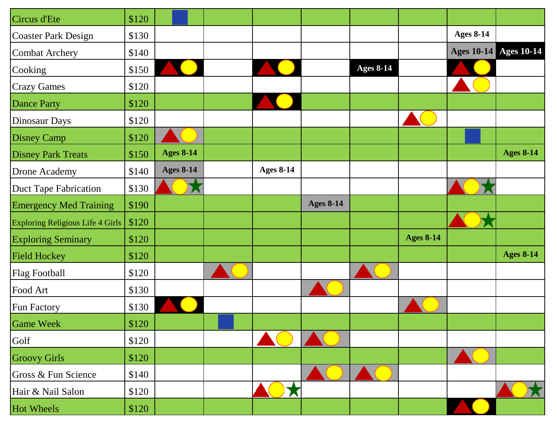| Circus d'Ete                            | \$120 |                  |                  |                  |                  |                  |                  |                       |
|-----------------------------------------|-------|------------------|------------------|------------------|------------------|------------------|------------------|-----------------------|
| <b>Coaster Park Design</b>              | \$130 |                  |                  |                  |                  |                  | <b>Ages 8-14</b> |                       |
| <b>Combat Archery</b>                   | \$140 |                  |                  |                  |                  |                  |                  | Ages 10-14 Ages 10-14 |
| Cooking                                 | \$150 |                  |                  |                  | <b>Ages 8-14</b> |                  |                  |                       |
| <b>Crazy Games</b>                      | \$120 |                  |                  |                  |                  |                  |                  |                       |
| <b>Dance Party</b>                      | \$120 |                  |                  |                  |                  |                  |                  |                       |
| Dinosaur Days                           | \$120 |                  |                  |                  |                  |                  |                  |                       |
| <b>Disney Camp</b>                      | \$120 |                  |                  |                  |                  |                  |                  |                       |
| <b>Disney Park Treats</b>               | \$150 | <b>Ages 8-14</b> |                  |                  |                  |                  |                  | <b>Ages 8-14</b>      |
| <b>Drone Academy</b>                    | \$140 | <b>Ages 8-14</b> | <b>Ages 8-14</b> |                  |                  |                  |                  |                       |
| Duct Tape Fabrication                   | \$130 |                  |                  |                  |                  |                  |                  |                       |
| <b>Emergency Med Training</b>           | \$190 |                  |                  | <b>Ages 8-14</b> |                  |                  |                  |                       |
| <b>Exploring Religious Life 4 Girls</b> | \$120 |                  |                  |                  |                  |                  |                  |                       |
| <b>Exploring Seminary</b>               | \$120 |                  |                  |                  |                  | <b>Ages 8-14</b> |                  |                       |
| <b>Field Hockey</b>                     | \$120 |                  |                  |                  |                  |                  |                  | <b>Ages 8-14</b>      |
| <b>Flag Football</b>                    | \$120 |                  |                  |                  |                  |                  |                  |                       |
| Food Art                                | \$130 |                  |                  |                  |                  |                  |                  |                       |
| Fun Factory                             | \$130 |                  |                  |                  |                  |                  |                  |                       |
| Game Week                               | \$120 |                  |                  |                  |                  |                  |                  |                       |
| Golf                                    | \$120 |                  |                  |                  |                  |                  |                  |                       |
| <b>Groovy Girls</b>                     | \$120 |                  |                  |                  |                  |                  |                  |                       |
| Gross & Fun Science                     | \$140 |                  |                  |                  |                  |                  |                  |                       |
| Hair & Nail Salon                       | \$120 |                  |                  |                  |                  |                  |                  |                       |
| <b>Hot Wheels</b>                       | \$120 |                  |                  |                  |                  |                  |                  |                       |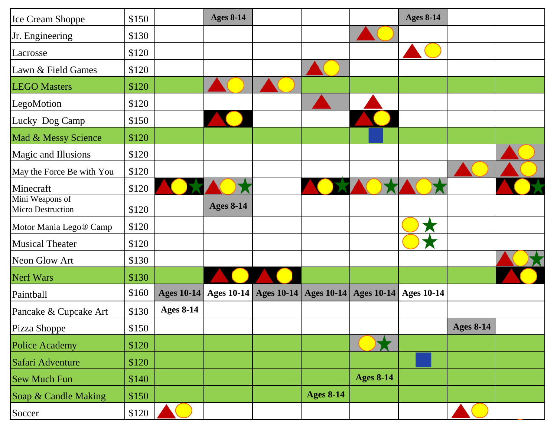| <b>Ice Cream Shoppe</b>                     | \$150 |                   | <b>Ages 8-14</b> |            |                  |                                  | <b>Ages 8-14</b> |                  |  |
|---------------------------------------------|-------|-------------------|------------------|------------|------------------|----------------------------------|------------------|------------------|--|
| Jr. Engineering                             | \$130 |                   |                  |            |                  |                                  |                  |                  |  |
| Lacrosse                                    | \$120 |                   |                  |            |                  |                                  |                  |                  |  |
| Lawn & Field Games                          | \$120 |                   |                  |            |                  |                                  |                  |                  |  |
| <b>LEGO</b> Masters                         | \$120 |                   |                  |            |                  |                                  |                  |                  |  |
| LegoMotion                                  | \$120 |                   |                  |            |                  |                                  |                  |                  |  |
| Lucky Dog Camp                              | \$150 |                   |                  |            |                  |                                  |                  |                  |  |
| Mad & Messy Science                         | \$120 |                   |                  |            |                  |                                  |                  |                  |  |
| Magic and Illusions                         | \$120 |                   |                  |            |                  |                                  |                  |                  |  |
| May the Force Be with You                   | \$120 |                   |                  |            |                  |                                  |                  |                  |  |
| Minecraft                                   | \$120 |                   |                  |            |                  |                                  |                  |                  |  |
| Mini Weapons of<br><b>Micro Destruction</b> | \$120 |                   | <b>Ages 8-14</b> |            |                  |                                  |                  |                  |  |
| Motor Mania Lego® Camp                      | \$120 |                   |                  |            |                  |                                  |                  |                  |  |
| <b>Musical Theater</b>                      | \$120 |                   |                  |            |                  |                                  |                  |                  |  |
| Neon Glow Art                               | \$130 |                   |                  |            |                  |                                  |                  |                  |  |
| <b>Nerf Wars</b>                            | \$130 |                   |                  |            |                  |                                  |                  |                  |  |
| Paintball                                   | \$160 | <b>Ages 10-14</b> | Ages 10-14       | Ages 10-14 |                  | Ages 10-14 Ages 10-14 Ages 10-14 |                  |                  |  |
| Pancake & Cupcake Art                       | \$130 | <b>Ages 8-14</b>  |                  |            |                  |                                  |                  |                  |  |
| Pizza Shoppe                                | \$150 |                   |                  |            |                  |                                  |                  | <b>Ages 8-14</b> |  |
| <b>Police Academy</b>                       | \$120 |                   |                  |            |                  |                                  |                  |                  |  |
| Safari Adventure                            | \$120 |                   |                  |            |                  |                                  |                  |                  |  |
| <b>Sew Much Fun</b>                         | \$140 |                   |                  |            |                  | <b>Ages 8-14</b>                 |                  |                  |  |
| Soap & Candle Making                        | \$150 |                   |                  |            | <b>Ages 8-14</b> |                                  |                  |                  |  |
| Soccer                                      | \$120 |                   |                  |            |                  |                                  |                  |                  |  |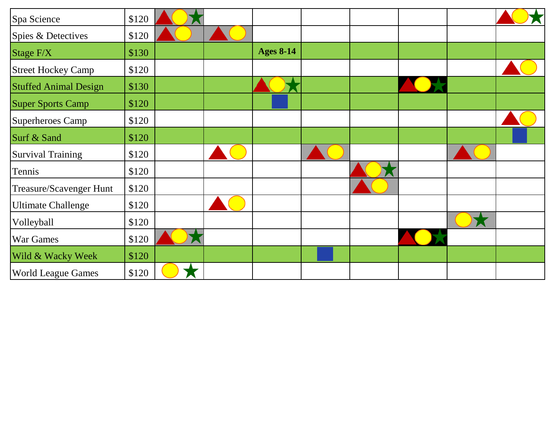| Spa Science                  | \$120 |  |                  |  |  |  |
|------------------------------|-------|--|------------------|--|--|--|
| Spies & Detectives           | \$120 |  |                  |  |  |  |
| Stage F/X                    | \$130 |  | <b>Ages 8-14</b> |  |  |  |
| <b>Street Hockey Camp</b>    | \$120 |  |                  |  |  |  |
| <b>Stuffed Animal Design</b> | \$130 |  |                  |  |  |  |
| <b>Super Sports Camp</b>     | \$120 |  |                  |  |  |  |
| Superheroes Camp             | \$120 |  |                  |  |  |  |
| Surf & Sand                  | \$120 |  |                  |  |  |  |
| <b>Survival Training</b>     | \$120 |  |                  |  |  |  |
| Tennis                       | \$120 |  |                  |  |  |  |
| Treasure/Scavenger Hunt      | \$120 |  |                  |  |  |  |
| <b>Ultimate Challenge</b>    | \$120 |  |                  |  |  |  |
| Volleyball                   | \$120 |  |                  |  |  |  |
| War Games                    | \$120 |  |                  |  |  |  |
| Wild & Wacky Week            | \$120 |  |                  |  |  |  |
| <b>World League Games</b>    | \$120 |  |                  |  |  |  |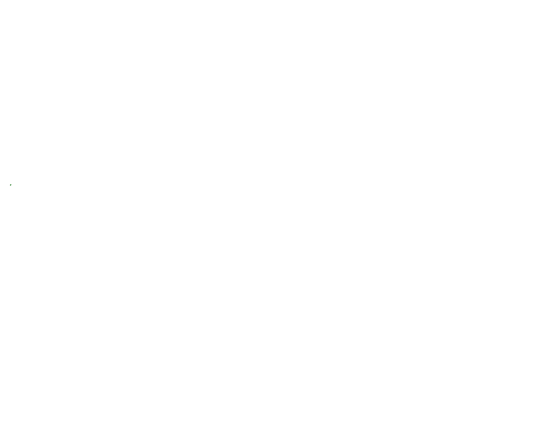$\epsilon$